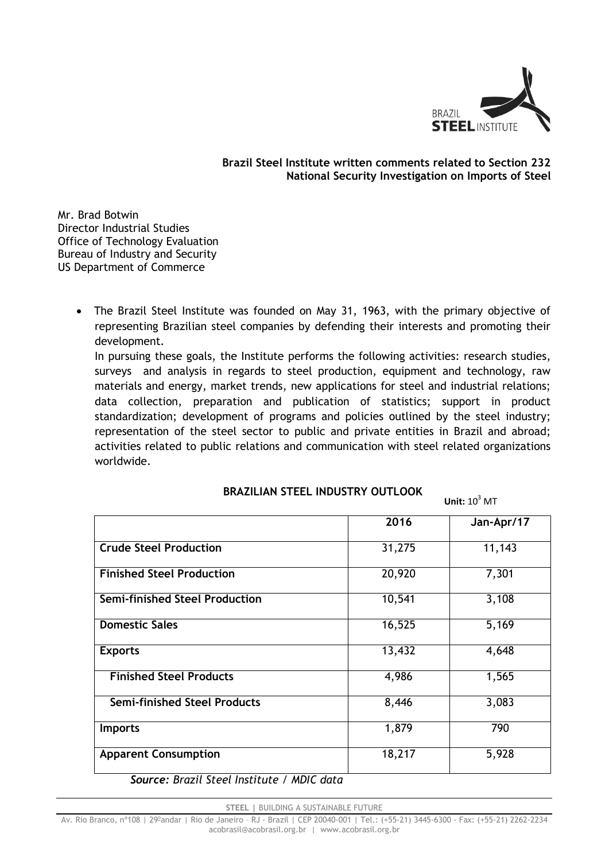

#### **Brazil Steel Institute written comments related to Section 232 National Security Investigation on Imports of Steel**

Mr. Brad Botwin Director Industrial Studies Office of Technology Evaluation Bureau of Industry and Security US Department of Commerce

> The Brazil Steel Institute was founded on May 31, 1963, with the primary objective of representing Brazilian steel companies by defending their interests and promoting their development.

In pursuing these goals, the Institute performs the following activities: research studies, surveys and analysis in regards to steel production, equipment and technology, raw materials and energy, market trends, new applications for steel and industrial relations; data collection, preparation and publication of statistics; support in product standardization; development of programs and policies outlined by the steel industry; representation of the steel sector to public and private entities in Brazil and abroad; activities related to public relations and communication with steel related organizations worldwide.

## **BRAZILIAN STEEL INDUSTRY OUTLOOK**

**Unit:**  $10^3$  MT

|                                       | 2016   | Jan-Apr/17 |
|---------------------------------------|--------|------------|
| <b>Crude Steel Production</b>         | 31,275 | 11,143     |
| <b>Finished Steel Production</b>      | 20,920 | 7,301      |
| <b>Semi-finished Steel Production</b> | 10,541 | 3,108      |
| <b>Domestic Sales</b>                 | 16,525 | 5,169      |
| <b>Exports</b>                        | 13,432 | 4,648      |
| <b>Finished Steel Products</b>        | 4,986  | 1,565      |
| <b>Semi-finished Steel Products</b>   | 8,446  | 3,083      |
| <b>Imports</b>                        | 1,879  | 790        |
| <b>Apparent Consumption</b>           | 18,217 | 5,928      |

*Source: Brazil Steel Institute / MDIC data*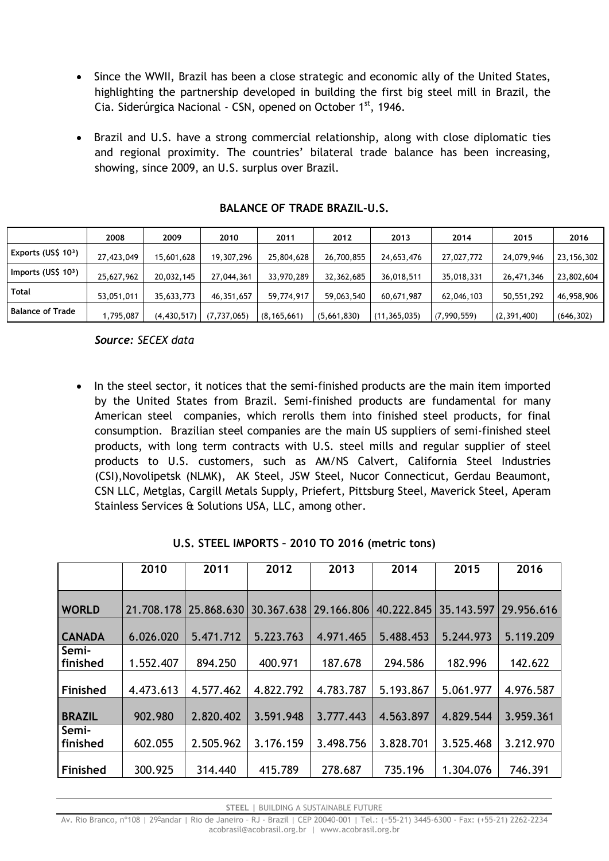- Since the WWII, Brazil has been a close strategic and economic ally of the United States, highlighting the partnership developed in building the first big steel mill in Brazil, the Cia. Siderúrgica Nacional - CSN, opened on October 1st, 1946.
- Brazil and U.S. have a strong commercial relationship, along with close diplomatic ties and regional proximity. The countries' bilateral trade balance has been increasing, showing, since 2009, an U.S. surplus over Brazil.

|                         | 2008       | 2009          | 2010          | 2011          | 2012        | 2013           | 2014        | 2015        | 2016         |
|-------------------------|------------|---------------|---------------|---------------|-------------|----------------|-------------|-------------|--------------|
| Exports (US\$ 103)      | 27,423,049 | 15,601,628    | 19,307,296    | 25,804,628    | 26,700,855  | 24,653,476     | 27,027,772  | 24,079,946  | 23, 156, 302 |
| Imports (US\$ $103$ )   | 25,627,962 | 20,032,145    | 27,044,361    | 33,970,289    | 32,362,685  | 36,018,511     | 35,018,331  | 26,471,346  | 23,802,604   |
| <b>Total</b>            | 53,051,011 | 35,633,773    | 46,351,657    | 59,774,917    | 59,063,540  | 60,671,987     | 62,046,103  | 50,551,292  | 46,958,906   |
| <b>Balance of Trade</b> | ,795,087   | (4, 430, 517) | (7, 737, 065) | (8, 165, 661) | (5,661,830) | (11, 365, 035) | (7,990,559) | (2,391,400) | (646, 302)   |

## **BALANCE OF TRADE BRAZIL-U.S.**

*Source: SECEX data*

• In the steel sector, it notices that the semi-finished products are the main item imported by the United States from Brazil. Semi-finished products are fundamental for many American steel companies, which rerolls them into finished steel products, for final consumption. Brazilian steel companies are the main US suppliers of semi-finished steel products, with long term contracts with U.S. steel mills and regular supplier of steel products to U.S. customers, such as AM/NS Calvert, California Steel Industries (CSI),Novolipetsk (NLMK), AK Steel, JSW Steel, Nucor Connecticut, Gerdau Beaumont, CSN LLC, Metglas, Cargill Metals Supply, Priefert, Pittsburg Steel, Maverick Steel, Aperam Stainless Services & Solutions USA, LLC, among other.

|                   | 2010       | 2011       | 2012      | 2013                    | 2014       | 2015       | 2016       |
|-------------------|------------|------------|-----------|-------------------------|------------|------------|------------|
|                   |            |            |           |                         |            |            |            |
| <b>WORLD</b>      | 21.708.178 | 25.868.630 |           | 30.367.638   29.166.806 | 40.222.845 | 35.143.597 | 29.956.616 |
| <b>CANADA</b>     | 6.026.020  | 5.471.712  | 5.223.763 | 4.971.465               | 5.488.453  | 5.244.973  | 5.119.209  |
| Semi-<br>finished | 1.552.407  | 894.250    | 400.971   | 187.678                 | 294.586    | 182.996    | 142.622    |
| <b>Finished</b>   | 4.473.613  | 4.577.462  | 4.822.792 | 4.783.787               | 5.193.867  | 5.061.977  | 4.976.587  |
| <b>BRAZIL</b>     | 902.980    | 2.820.402  | 3.591.948 | 3.777.443               | 4.563.897  | 4.829.544  | 3.959.361  |
| Semi-<br>finished | 602.055    | 2.505.962  | 3.176.159 | 3.498.756               | 3.828.701  | 3.525.468  | 3.212.970  |
| Finished          | 300.925    | 314.440    | 415.789   | 278.687                 | 735.196    | 1.304.076  | 746.391    |

# **U.S. STEEL IMPORTS – 2010 TO 2016 (metric tons)**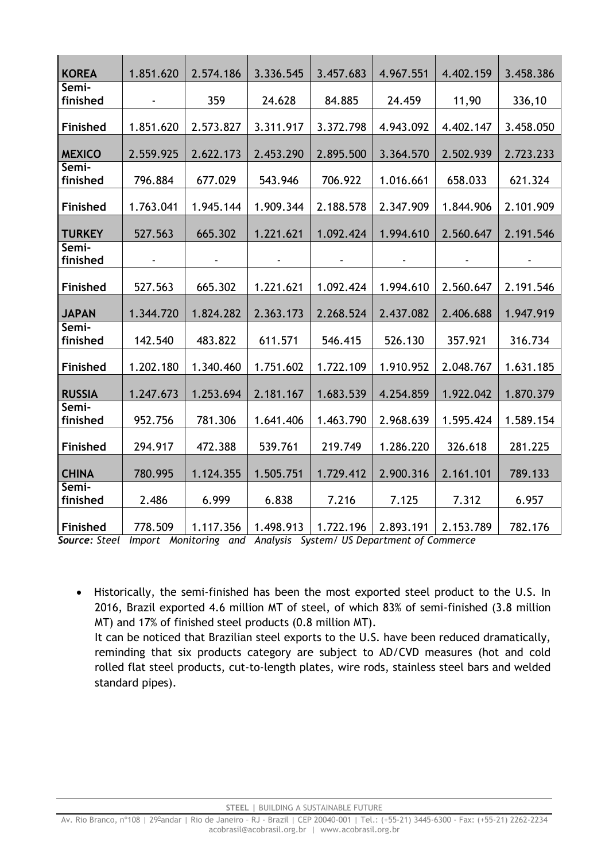| <b>KOREA</b>      | 1.851.620 | 2.574.186 | 3.336.545 | 3.457.683 | 4.967.551 | 4.402.159 | 3.458.386 |
|-------------------|-----------|-----------|-----------|-----------|-----------|-----------|-----------|
| Semi-             |           |           |           |           |           |           |           |
| finished          |           | 359       | 24.628    | 84.885    | 24.459    | 11,90     | 336,10    |
| Finished          | 1.851.620 | 2.573.827 | 3.311.917 | 3.372.798 | 4.943.092 | 4.402.147 | 3.458.050 |
| <b>MEXICO</b>     | 2.559.925 | 2.622.173 | 2.453.290 | 2.895.500 | 3.364.570 | 2.502.939 | 2.723.233 |
| Semi-<br>finished | 796.884   | 677.029   | 543.946   | 706.922   | 1.016.661 | 658.033   | 621.324   |
| Finished          | 1.763.041 | 1.945.144 | 1.909.344 | 2.188.578 | 2.347.909 | 1.844.906 | 2.101.909 |
| <b>TURKEY</b>     | 527.563   | 665.302   | 1.221.621 | 1.092.424 | 1.994.610 | 2.560.647 | 2.191.546 |
| Semi-<br>finished |           |           |           |           |           |           |           |
| Finished          | 527.563   | 665.302   | 1.221.621 | 1.092.424 | 1.994.610 | 2.560.647 | 2.191.546 |
| <b>JAPAN</b>      | 1.344.720 | 1.824.282 | 2.363.173 | 2.268.524 | 2.437.082 | 2.406.688 | 1.947.919 |
| Semi-             |           |           |           |           |           |           |           |
| finished          | 142.540   | 483.822   | 611.571   | 546.415   | 526.130   | 357.921   | 316.734   |
| Finished          | 1.202.180 | 1.340.460 | 1.751.602 | 1.722.109 | 1.910.952 | 2.048.767 | 1.631.185 |
| <b>RUSSIA</b>     | 1.247.673 | 1.253.694 | 2.181.167 | 1.683.539 | 4.254.859 | 1.922.042 | 1.870.379 |
| Semi-             |           |           |           |           |           |           |           |
| finished          | 952.756   | 781.306   | 1.641.406 | 1.463.790 | 2.968.639 | 1.595.424 | 1.589.154 |
| Finished          | 294.917   | 472.388   | 539.761   | 219.749   | 1.286.220 | 326.618   | 281.225   |
| <b>CHINA</b>      | 780.995   | 1.124.355 | 1.505.751 | 1.729.412 | 2.900.316 | 2.161.101 | 789.133   |
| Semi-<br>finished | 2.486     | 6.999     | 6.838     | 7.216     | 7.125     | 7.312     | 6.957     |
| Finished          | 778.509   | 1.117.356 | 1.498.913 | 1.722.196 | 2.893.191 | 2.153.789 | 782.176   |

*Source: Steel Import Monitoring and Analysis System/ US Department of Commerce*

 Historically, the semi-finished has been the most exported steel product to the U.S. In 2016, Brazil exported 4.6 million MT of steel, of which 83% of semi-finished (3.8 million MT) and 17% of finished steel products (0.8 million MT). It can be noticed that Brazilian steel exports to the U.S. have been reduced dramatically, reminding that six products category are subject to AD/CVD measures (hot and cold rolled flat steel products, cut-to-length plates, wire rods, stainless steel bars and welded standard pipes).